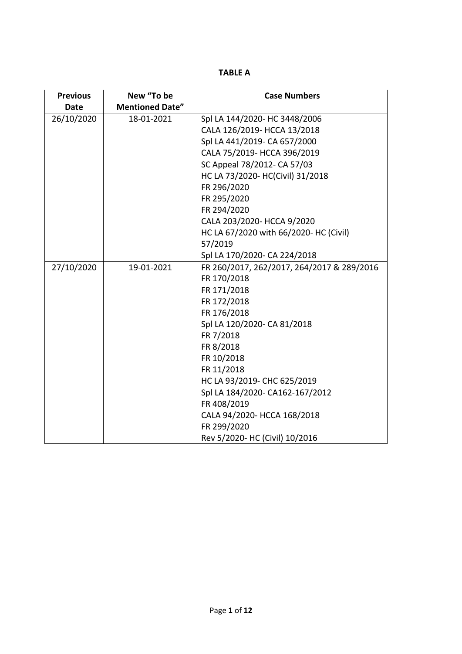**TABLE A**

| <b>Previous</b> | New "To be             | <b>Case Numbers</b>                        |
|-----------------|------------------------|--------------------------------------------|
| Date            | <b>Mentioned Date"</b> |                                            |
| 26/10/2020      | 18-01-2021             | Spl LA 144/2020- HC 3448/2006              |
|                 |                        | CALA 126/2019- HCCA 13/2018                |
|                 |                        | Spl LA 441/2019- CA 657/2000               |
|                 |                        | CALA 75/2019- HCCA 396/2019                |
|                 |                        | SC Appeal 78/2012- CA 57/03                |
|                 |                        | HC LA 73/2020- HC(Civil) 31/2018           |
|                 |                        | FR 296/2020                                |
|                 |                        | FR 295/2020                                |
|                 |                        | FR 294/2020                                |
|                 |                        | CALA 203/2020- HCCA 9/2020                 |
|                 |                        | HC LA 67/2020 with 66/2020- HC (Civil)     |
|                 |                        | 57/2019                                    |
|                 |                        | Spl LA 170/2020- CA 224/2018               |
| 27/10/2020      | 19-01-2021             | FR 260/2017, 262/2017, 264/2017 & 289/2016 |
|                 |                        | FR 170/2018                                |
|                 |                        | FR 171/2018                                |
|                 |                        | FR 172/2018                                |
|                 |                        | FR 176/2018                                |
|                 |                        | Spl LA 120/2020- CA 81/2018                |
|                 |                        | FR 7/2018                                  |
|                 |                        | FR 8/2018                                  |
|                 |                        | FR 10/2018                                 |
|                 |                        | FR 11/2018                                 |
|                 |                        | HC LA 93/2019- CHC 625/2019                |
|                 |                        | Spl LA 184/2020- CA162-167/2012            |
|                 |                        | FR 408/2019                                |
|                 |                        | CALA 94/2020- HCCA 168/2018                |
|                 |                        | FR 299/2020                                |
|                 |                        | Rev 5/2020- HC (Civil) 10/2016             |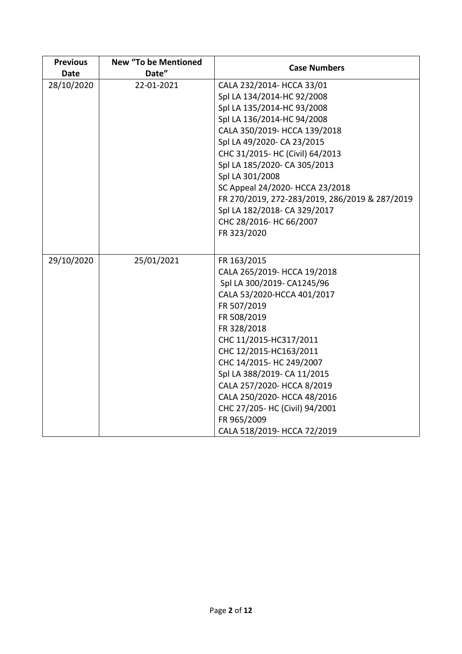| <b>Previous</b><br><b>Date</b> | <b>New "To be Mentioned</b><br>Date" | <b>Case Numbers</b>                            |
|--------------------------------|--------------------------------------|------------------------------------------------|
| 28/10/2020                     | 22-01-2021                           | CALA 232/2014- HCCA 33/01                      |
|                                |                                      | Spl LA 134/2014-HC 92/2008                     |
|                                |                                      | Spl LA 135/2014-HC 93/2008                     |
|                                |                                      | Spl LA 136/2014-HC 94/2008                     |
|                                |                                      | CALA 350/2019- HCCA 139/2018                   |
|                                |                                      | Spl LA 49/2020- CA 23/2015                     |
|                                |                                      | CHC 31/2015- HC (Civil) 64/2013                |
|                                |                                      | Spl LA 185/2020- CA 305/2013                   |
|                                |                                      | Spl LA 301/2008                                |
|                                |                                      | SC Appeal 24/2020- HCCA 23/2018                |
|                                |                                      | FR 270/2019, 272-283/2019, 286/2019 & 287/2019 |
|                                |                                      | Spl LA 182/2018- CA 329/2017                   |
|                                |                                      | CHC 28/2016- HC 66/2007                        |
|                                |                                      | FR 323/2020                                    |
|                                |                                      |                                                |
| 29/10/2020                     | 25/01/2021                           | FR 163/2015                                    |
|                                |                                      | CALA 265/2019- HCCA 19/2018                    |
|                                |                                      | Spl LA 300/2019- CA1245/96                     |
|                                |                                      | CALA 53/2020-HCCA 401/2017                     |
|                                |                                      | FR 507/2019                                    |
|                                |                                      | FR 508/2019                                    |
|                                |                                      | FR 328/2018                                    |
|                                |                                      | CHC 11/2015-HC317/2011                         |
|                                |                                      | CHC 12/2015-HC163/2011                         |
|                                |                                      | CHC 14/2015- HC 249/2007                       |
|                                |                                      | Spl LA 388/2019- CA 11/2015                    |
|                                |                                      | CALA 257/2020- HCCA 8/2019                     |
|                                |                                      | CALA 250/2020- HCCA 48/2016                    |
|                                |                                      | CHC 27/205- HC (Civil) 94/2001                 |
|                                |                                      | FR 965/2009                                    |
|                                |                                      | CALA 518/2019- HCCA 72/2019                    |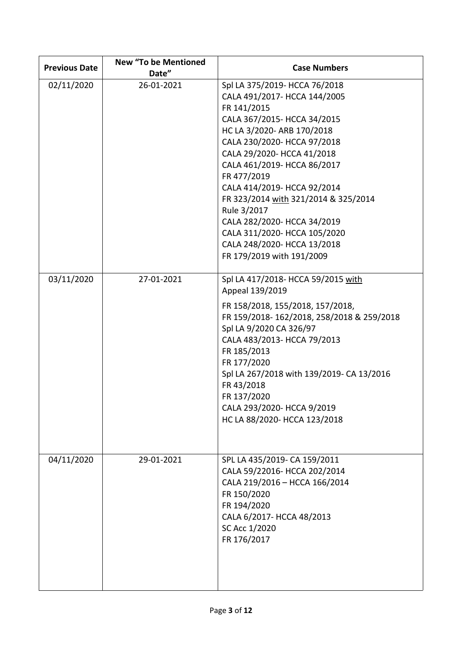| <b>Previous Date</b> | <b>New "To be Mentioned</b><br>Date" | <b>Case Numbers</b>                                                                                                                                                                                                                                                                                                                                                                                                                                                   |
|----------------------|--------------------------------------|-----------------------------------------------------------------------------------------------------------------------------------------------------------------------------------------------------------------------------------------------------------------------------------------------------------------------------------------------------------------------------------------------------------------------------------------------------------------------|
| 02/11/2020           | 26-01-2021                           | Spl LA 375/2019- HCCA 76/2018<br>CALA 491/2017- HCCA 144/2005<br>FR 141/2015<br>CALA 367/2015- HCCA 34/2015<br>HC LA 3/2020- ARB 170/2018<br>CALA 230/2020- HCCA 97/2018<br>CALA 29/2020- HCCA 41/2018<br>CALA 461/2019- HCCA 86/2017<br>FR 477/2019<br>CALA 414/2019- HCCA 92/2014<br>FR 323/2014 with 321/2014 & 325/2014<br>Rule 3/2017<br>CALA 282/2020- HCCA 34/2019<br>CALA 311/2020- HCCA 105/2020<br>CALA 248/2020- HCCA 13/2018<br>FR 179/2019 with 191/2009 |
| 03/11/2020           | 27-01-2021                           | Spl LA 417/2018- HCCA 59/2015 with<br>Appeal 139/2019<br>FR 158/2018, 155/2018, 157/2018,<br>FR 159/2018-162/2018, 258/2018 & 259/2018<br>Spl LA 9/2020 CA 326/97<br>CALA 483/2013- HCCA 79/2013<br>FR 185/2013<br>FR 177/2020<br>Spl LA 267/2018 with 139/2019- CA 13/2016<br>FR 43/2018<br>FR 137/2020<br>CALA 293/2020- HCCA 9/2019<br>HC LA 88/2020- HCCA 123/2018                                                                                                |
| 04/11/2020           | 29-01-2021                           | SPL LA 435/2019- CA 159/2011<br>CALA 59/22016- HCCA 202/2014<br>CALA 219/2016 - HCCA 166/2014<br>FR 150/2020<br>FR 194/2020<br>CALA 6/2017- HCCA 48/2013<br>SC Acc 1/2020<br>FR 176/2017                                                                                                                                                                                                                                                                              |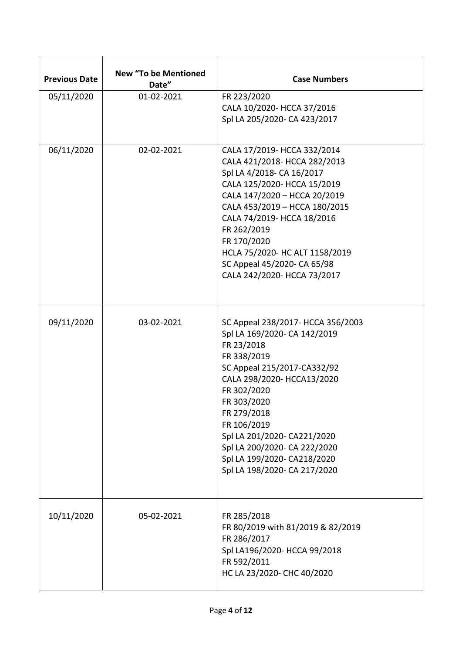| <b>Previous Date</b> | <b>New "To be Mentioned</b><br>Date" | <b>Case Numbers</b>                                                                                                                                                                                                                                                                                                                                   |
|----------------------|--------------------------------------|-------------------------------------------------------------------------------------------------------------------------------------------------------------------------------------------------------------------------------------------------------------------------------------------------------------------------------------------------------|
| 05/11/2020           | 01-02-2021                           | FR 223/2020<br>CALA 10/2020- HCCA 37/2016<br>Spl LA 205/2020- CA 423/2017                                                                                                                                                                                                                                                                             |
| 06/11/2020           | 02-02-2021                           | CALA 17/2019- HCCA 332/2014<br>CALA 421/2018- HCCA 282/2013<br>Spl LA 4/2018- CA 16/2017<br>CALA 125/2020- HCCA 15/2019<br>CALA 147/2020 - HCCA 20/2019<br>CALA 453/2019 - HCCA 180/2015<br>CALA 74/2019- HCCA 18/2016<br>FR 262/2019<br>FR 170/2020<br>HCLA 75/2020- HC ALT 1158/2019<br>SC Appeal 45/2020- CA 65/98<br>CALA 242/2020- HCCA 73/2017  |
| 09/11/2020           | 03-02-2021                           | SC Appeal 238/2017- HCCA 356/2003<br>Spl LA 169/2020- CA 142/2019<br>FR 23/2018<br>FR 338/2019<br>SC Appeal 215/2017-CA332/92<br>CALA 298/2020- HCCA13/2020<br>FR 302/2020<br>FR 303/2020<br>FR 279/2018<br>FR 106/2019<br>Spl LA 201/2020- CA221/2020<br>Spl LA 200/2020- CA 222/2020<br>Spl LA 199/2020- CA218/2020<br>Spl LA 198/2020- CA 217/2020 |
| 10/11/2020           | 05-02-2021                           | FR 285/2018<br>FR 80/2019 with 81/2019 & 82/2019<br>FR 286/2017<br>Spl LA196/2020- HCCA 99/2018<br>FR 592/2011<br>HC LA 23/2020- CHC 40/2020                                                                                                                                                                                                          |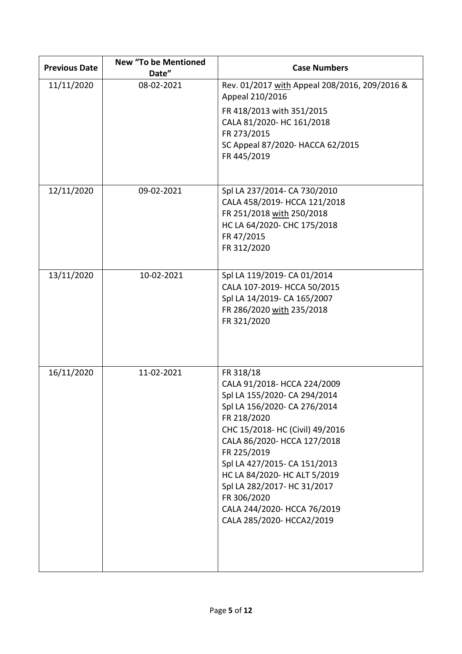| <b>Previous Date</b> | <b>New "To be Mentioned</b><br>Date" | <b>Case Numbers</b>                                                                                                                                                                                                                                                                                                                                                                |
|----------------------|--------------------------------------|------------------------------------------------------------------------------------------------------------------------------------------------------------------------------------------------------------------------------------------------------------------------------------------------------------------------------------------------------------------------------------|
| 11/11/2020           | 08-02-2021                           | Rev. 01/2017 with Appeal 208/2016, 209/2016 &<br>Appeal 210/2016                                                                                                                                                                                                                                                                                                                   |
|                      |                                      | FR 418/2013 with 351/2015<br>CALA 81/2020- HC 161/2018<br>FR 273/2015<br>SC Appeal 87/2020- HACCA 62/2015<br>FR 445/2019                                                                                                                                                                                                                                                           |
|                      |                                      |                                                                                                                                                                                                                                                                                                                                                                                    |
| 12/11/2020           | 09-02-2021                           | Spl LA 237/2014- CA 730/2010<br>CALA 458/2019- HCCA 121/2018<br>FR 251/2018 with 250/2018<br>HC LA 64/2020- CHC 175/2018<br>FR 47/2015<br>FR 312/2020                                                                                                                                                                                                                              |
| 13/11/2020           | 10-02-2021                           | Spl LA 119/2019- CA 01/2014<br>CALA 107-2019- HCCA 50/2015<br>Spl LA 14/2019- CA 165/2007<br>FR 286/2020 with 235/2018<br>FR 321/2020                                                                                                                                                                                                                                              |
| 16/11/2020           | 11-02-2021                           | FR 318/18<br>CALA 91/2018- HCCA 224/2009<br>Spl LA 155/2020- CA 294/2014<br>Spl LA 156/2020- CA 276/2014<br>FR 218/2020<br>CHC 15/2018- HC (Civil) 49/2016<br>CALA 86/2020- HCCA 127/2018<br>FR 225/2019<br>Spl LA 427/2015- CA 151/2013<br>HC LA 84/2020- HC ALT 5/2019<br>Spl LA 282/2017- HC 31/2017<br>FR 306/2020<br>CALA 244/2020- HCCA 76/2019<br>CALA 285/2020- HCCA2/2019 |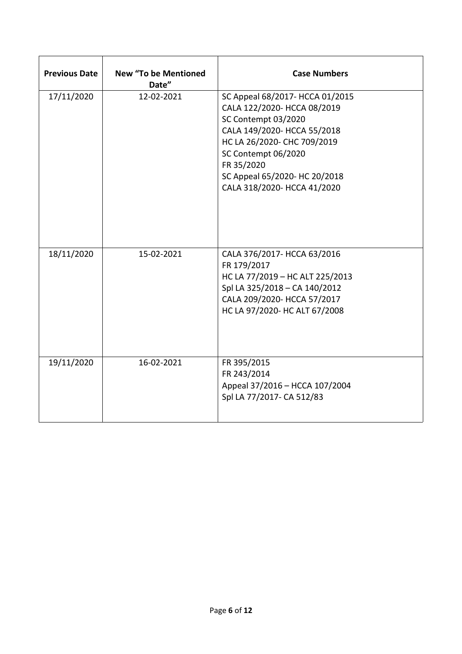| <b>Previous Date</b> | <b>New "To be Mentioned</b><br>Date" | <b>Case Numbers</b>                                                                                                                                                                                                                                      |
|----------------------|--------------------------------------|----------------------------------------------------------------------------------------------------------------------------------------------------------------------------------------------------------------------------------------------------------|
| 17/11/2020           | 12-02-2021                           | SC Appeal 68/2017- HCCA 01/2015<br>CALA 122/2020- HCCA 08/2019<br>SC Contempt 03/2020<br>CALA 149/2020- HCCA 55/2018<br>HC LA 26/2020- CHC 709/2019<br>SC Contempt 06/2020<br>FR 35/2020<br>SC Appeal 65/2020- HC 20/2018<br>CALA 318/2020- HCCA 41/2020 |
| 18/11/2020           | 15-02-2021                           | CALA 376/2017- HCCA 63/2016<br>FR 179/2017<br>HC LA 77/2019 - HC ALT 225/2013<br>Spl LA 325/2018 - CA 140/2012<br>CALA 209/2020- HCCA 57/2017<br>HC LA 97/2020- HC ALT 67/2008                                                                           |
| 19/11/2020           | 16-02-2021                           | FR 395/2015<br>FR 243/2014<br>Appeal 37/2016 - HCCA 107/2004<br>Spl LA 77/2017- CA 512/83                                                                                                                                                                |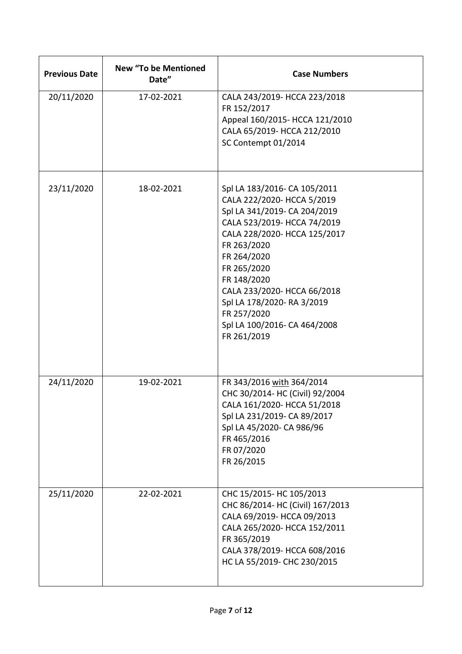| <b>Previous Date</b> | <b>New "To be Mentioned</b><br>Date" | <b>Case Numbers</b>                                                                                                                                                                                                                                                                                                                              |
|----------------------|--------------------------------------|--------------------------------------------------------------------------------------------------------------------------------------------------------------------------------------------------------------------------------------------------------------------------------------------------------------------------------------------------|
| 20/11/2020           | 17-02-2021                           | CALA 243/2019- HCCA 223/2018<br>FR 152/2017<br>Appeal 160/2015- HCCA 121/2010<br>CALA 65/2019- HCCA 212/2010<br>SC Contempt 01/2014                                                                                                                                                                                                              |
| 23/11/2020           | 18-02-2021                           | Spl LA 183/2016- CA 105/2011<br>CALA 222/2020- HCCA 5/2019<br>Spl LA 341/2019- CA 204/2019<br>CALA 523/2019- HCCA 74/2019<br>CALA 228/2020- HCCA 125/2017<br>FR 263/2020<br>FR 264/2020<br>FR 265/2020<br>FR 148/2020<br>CALA 233/2020- HCCA 66/2018<br>Spl LA 178/2020- RA 3/2019<br>FR 257/2020<br>Spl LA 100/2016- CA 464/2008<br>FR 261/2019 |
| 24/11/2020           | 19-02-2021                           | FR 343/2016 with 364/2014<br>CHC 30/2014- HC (Civil) 92/2004<br>CALA 161/2020- HCCA 51/2018<br>Spl LA 231/2019- CA 89/2017<br>Spl LA 45/2020- CA 986/96<br>FR 465/2016<br>FR 07/2020<br>FR 26/2015                                                                                                                                               |
| 25/11/2020           | 22-02-2021                           | CHC 15/2015- HC 105/2013<br>CHC 86/2014- HC (Civil) 167/2013<br>CALA 69/2019- HCCA 09/2013<br>CALA 265/2020- HCCA 152/2011<br>FR 365/2019<br>CALA 378/2019- HCCA 608/2016<br>HC LA 55/2019- CHC 230/2015                                                                                                                                         |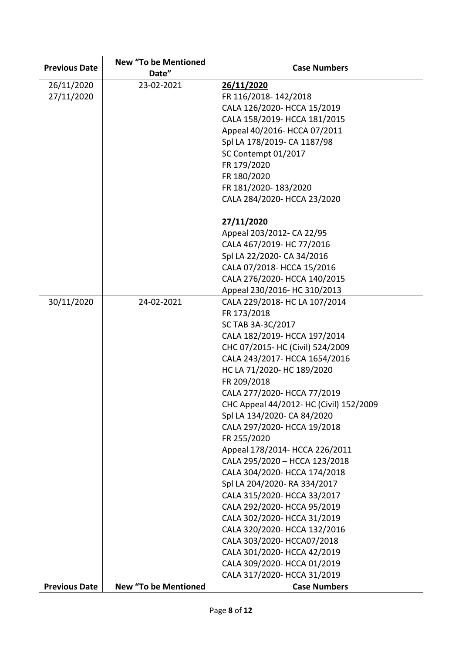| <b>Previous Date</b> | <b>New "To be Mentioned</b> | <b>Case Numbers</b>                                         |
|----------------------|-----------------------------|-------------------------------------------------------------|
|                      | Date"                       |                                                             |
| 26/11/2020           | 23-02-2021                  | 26/11/2020                                                  |
| 27/11/2020           |                             | FR 116/2018-142/2018                                        |
|                      |                             | CALA 126/2020- HCCA 15/2019<br>CALA 158/2019- HCCA 181/2015 |
|                      |                             | Appeal 40/2016- HCCA 07/2011                                |
|                      |                             | Spl LA 178/2019- CA 1187/98                                 |
|                      |                             | SC Contempt 01/2017                                         |
|                      |                             | FR 179/2020                                                 |
|                      |                             |                                                             |
|                      |                             | FR 180/2020<br>FR 181/2020-183/2020                         |
|                      |                             |                                                             |
|                      |                             | CALA 284/2020- HCCA 23/2020                                 |
|                      |                             | 27/11/2020                                                  |
|                      |                             | Appeal 203/2012- CA 22/95                                   |
|                      |                             | CALA 467/2019- HC 77/2016                                   |
|                      |                             | Spl LA 22/2020- CA 34/2016                                  |
|                      |                             | CALA 07/2018- HCCA 15/2016                                  |
|                      |                             | CALA 276/2020- HCCA 140/2015                                |
|                      |                             | Appeal 230/2016- HC 310/2013                                |
| 30/11/2020           | 24-02-2021                  | CALA 229/2018- HC LA 107/2014                               |
|                      |                             | FR 173/2018                                                 |
|                      |                             | SC TAB 3A-3C/2017                                           |
|                      |                             | CALA 182/2019- HCCA 197/2014                                |
|                      |                             | CHC 07/2015- HC (Civil) 524/2009                            |
|                      |                             | CALA 243/2017- HCCA 1654/2016                               |
|                      |                             | HC LA 71/2020- HC 189/2020                                  |
|                      |                             | FR 209/2018                                                 |
|                      |                             | CALA 277/2020- HCCA 77/2019                                 |
|                      |                             | CHC Appeal 44/2012- HC (Civil) 152/2009                     |
|                      |                             | Spl LA 134/2020- CA 84/2020                                 |
|                      |                             | CALA 297/2020- HCCA 19/2018                                 |
|                      |                             | FR 255/2020                                                 |
|                      |                             | Appeal 178/2014- HCCA 226/2011                              |
|                      |                             | CALA 295/2020 - HCCA 123/2018                               |
|                      |                             | CALA 304/2020- HCCA 174/2018                                |
|                      |                             | Spl LA 204/2020- RA 334/2017                                |
|                      |                             | CALA 315/2020- HCCA 33/2017                                 |
|                      |                             | CALA 292/2020- HCCA 95/2019                                 |
|                      |                             | CALA 302/2020- HCCA 31/2019                                 |
|                      |                             | CALA 320/2020- HCCA 132/2016                                |
|                      |                             | CALA 303/2020- HCCA07/2018                                  |
|                      |                             | CALA 301/2020- HCCA 42/2019                                 |
|                      |                             | CALA 309/2020- HCCA 01/2019                                 |
|                      |                             | CALA 317/2020- HCCA 31/2019                                 |
| <b>Previous Date</b> | <b>New "To be Mentioned</b> | <b>Case Numbers</b>                                         |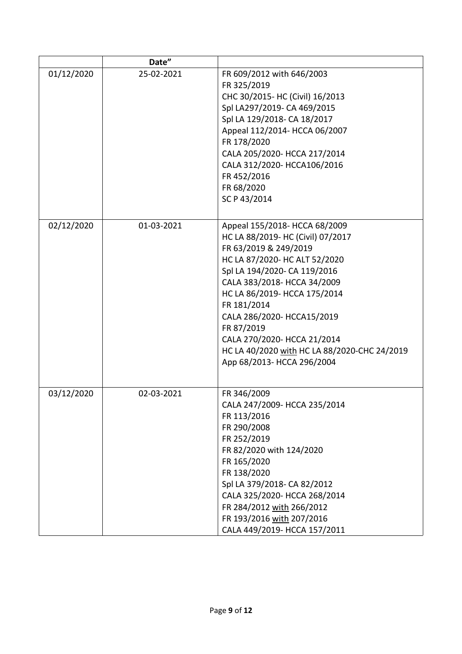|            | Date"      |                                              |
|------------|------------|----------------------------------------------|
| 01/12/2020 | 25-02-2021 | FR 609/2012 with 646/2003                    |
|            |            | FR 325/2019                                  |
|            |            | CHC 30/2015- HC (Civil) 16/2013              |
|            |            | Spl LA297/2019- CA 469/2015                  |
|            |            | Spl LA 129/2018- CA 18/2017                  |
|            |            | Appeal 112/2014- HCCA 06/2007                |
|            |            | FR 178/2020                                  |
|            |            | CALA 205/2020- HCCA 217/2014                 |
|            |            | CALA 312/2020- HCCA106/2016                  |
|            |            | FR 452/2016                                  |
|            |            | FR 68/2020                                   |
|            |            | SC P 43/2014                                 |
|            |            |                                              |
| 02/12/2020 | 01-03-2021 | Appeal 155/2018- HCCA 68/2009                |
|            |            | HC LA 88/2019- HC (Civil) 07/2017            |
|            |            | FR 63/2019 & 249/2019                        |
|            |            | HC LA 87/2020- HC ALT 52/2020                |
|            |            | Spl LA 194/2020- CA 119/2016                 |
|            |            | CALA 383/2018- HCCA 34/2009                  |
|            |            | HC LA 86/2019- HCCA 175/2014                 |
|            |            | FR 181/2014                                  |
|            |            | CALA 286/2020- HCCA15/2019                   |
|            |            | FR 87/2019                                   |
|            |            | CALA 270/2020- HCCA 21/2014                  |
|            |            | HC LA 40/2020 with HC LA 88/2020-CHC 24/2019 |
|            |            | App 68/2013- HCCA 296/2004                   |
|            |            |                                              |
| 03/12/2020 | 02-03-2021 | FR 346/2009                                  |
|            |            | CALA 247/2009- HCCA 235/2014                 |
|            |            | FR 113/2016                                  |
|            |            | FR 290/2008                                  |
|            |            | FR 252/2019                                  |
|            |            | FR 82/2020 with 124/2020                     |
|            |            | FR 165/2020                                  |
|            |            | FR 138/2020                                  |
|            |            | Spl LA 379/2018- CA 82/2012                  |
|            |            | CALA 325/2020- HCCA 268/2014                 |
|            |            | FR 284/2012 with 266/2012                    |
|            |            | FR 193/2016 with 207/2016                    |
|            |            | CALA 449/2019- HCCA 157/2011                 |
|            |            |                                              |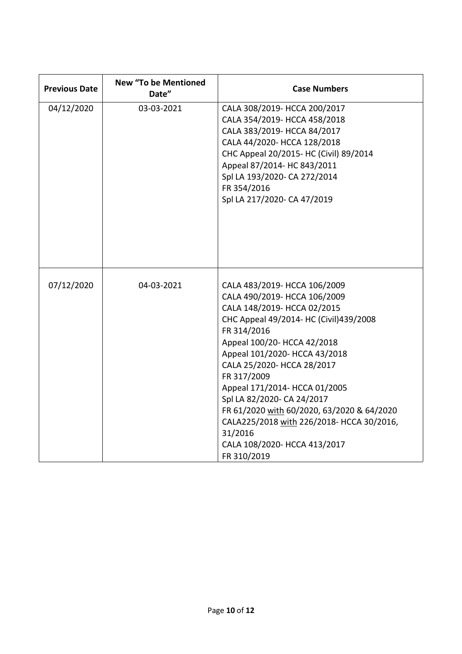| <b>Previous Date</b> | <b>New "To be Mentioned</b><br>Date" | <b>Case Numbers</b>                                                                                                                                                                                                                                                                                                                                                                                                                                                                   |
|----------------------|--------------------------------------|---------------------------------------------------------------------------------------------------------------------------------------------------------------------------------------------------------------------------------------------------------------------------------------------------------------------------------------------------------------------------------------------------------------------------------------------------------------------------------------|
| 04/12/2020           | 03-03-2021                           | CALA 308/2019- HCCA 200/2017<br>CALA 354/2019- HCCA 458/2018<br>CALA 383/2019- HCCA 84/2017<br>CALA 44/2020- HCCA 128/2018<br>CHC Appeal 20/2015- HC (Civil) 89/2014<br>Appeal 87/2014- HC 843/2011<br>Spl LA 193/2020- CA 272/2014<br>FR 354/2016<br>Spl LA 217/2020- CA 47/2019                                                                                                                                                                                                     |
| 07/12/2020           | 04-03-2021                           | CALA 483/2019- HCCA 106/2009<br>CALA 490/2019- HCCA 106/2009<br>CALA 148/2019- HCCA 02/2015<br>CHC Appeal 49/2014- HC (Civil)439/2008<br>FR 314/2016<br>Appeal 100/20- HCCA 42/2018<br>Appeal 101/2020- HCCA 43/2018<br>CALA 25/2020- HCCA 28/2017<br>FR 317/2009<br>Appeal 171/2014- HCCA 01/2005<br>Spl LA 82/2020- CA 24/2017<br>FR 61/2020 with 60/2020, 63/2020 & 64/2020<br>CALA225/2018 with 226/2018- HCCA 30/2016,<br>31/2016<br>CALA 108/2020- HCCA 413/2017<br>FR 310/2019 |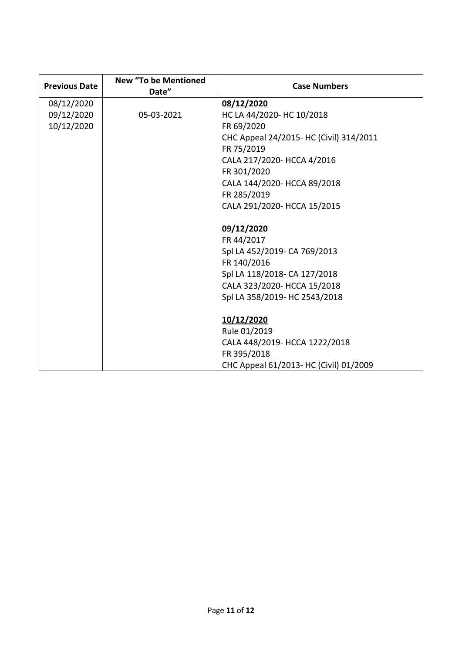| <b>Previous Date</b> | <b>New "To be Mentioned</b><br>Date" | <b>Case Numbers</b>                     |
|----------------------|--------------------------------------|-----------------------------------------|
| 08/12/2020           |                                      | 08/12/2020                              |
| 09/12/2020           | 05-03-2021                           | HC LA 44/2020- HC 10/2018               |
| 10/12/2020           |                                      | FR 69/2020                              |
|                      |                                      | CHC Appeal 24/2015- HC (Civil) 314/2011 |
|                      |                                      | FR 75/2019                              |
|                      |                                      | CALA 217/2020- HCCA 4/2016              |
|                      |                                      | FR 301/2020                             |
|                      |                                      | CALA 144/2020- HCCA 89/2018             |
|                      |                                      | FR 285/2019                             |
|                      |                                      | CALA 291/2020- HCCA 15/2015             |
|                      |                                      |                                         |
|                      |                                      | 09/12/2020                              |
|                      |                                      | FR 44/2017                              |
|                      |                                      | Spl LA 452/2019- CA 769/2013            |
|                      |                                      | FR 140/2016                             |
|                      |                                      | Spl LA 118/2018- CA 127/2018            |
|                      |                                      | CALA 323/2020- HCCA 15/2018             |
|                      |                                      | Spl LA 358/2019- HC 2543/2018           |
|                      |                                      |                                         |
|                      |                                      | 10/12/2020                              |
|                      |                                      | Rule 01/2019                            |
|                      |                                      | CALA 448/2019- HCCA 1222/2018           |
|                      |                                      | FR 395/2018                             |
|                      |                                      | CHC Appeal 61/2013- HC (Civil) 01/2009  |